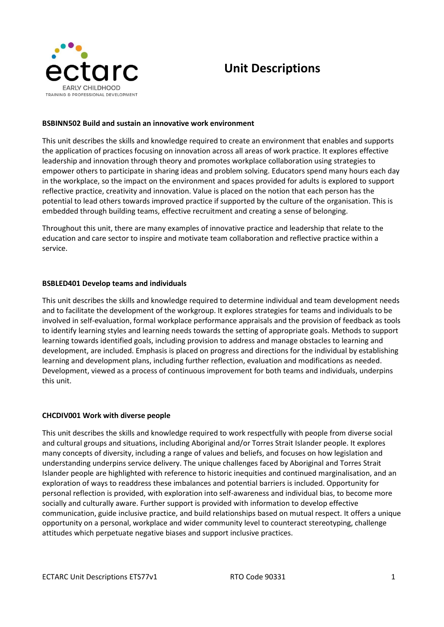

# **Unit Descriptions**

## **BSBINN502 Build and sustain an innovative work environment**

This unit describes the skills and knowledge required to create an environment that enables and supports the application of practices focusing on innovation across all areas of work practice. It explores effective leadership and innovation through theory and promotes workplace collaboration using strategies to empower others to participate in sharing ideas and problem solving. Educators spend many hours each day in the workplace, so the impact on the environment and spaces provided for adults is explored to support reflective practice, creativity and innovation. Value is placed on the notion that each person has the potential to lead others towards improved practice if supported by the culture of the organisation. This is embedded through building teams, effective recruitment and creating a sense of belonging.

Throughout this unit, there are many examples of innovative practice and leadership that relate to the education and care sector to inspire and motivate team collaboration and reflective practice within a service.

#### **BSBLED401 Develop teams and individuals**

This unit describes the skills and knowledge required to determine individual and team development needs and to facilitate the development of the workgroup. It explores strategies for teams and individuals to be involved in self-evaluation, formal workplace performance appraisals and the provision of feedback as tools to identify learning styles and learning needs towards the setting of appropriate goals. Methods to support learning towards identified goals, including provision to address and manage obstacles to learning and development, are included. Emphasis is placed on progress and directions for the individual by establishing learning and development plans, including further reflection, evaluation and modifications as needed. Development, viewed as a process of continuous improvement for both teams and individuals, underpins this unit.

#### **CHCDIV001 Work with diverse people**

This unit describes the skills and knowledge required to work respectfully with people from diverse social and cultural groups and situations, including Aboriginal and/or Torres Strait Islander people. It explores many concepts of diversity, including a range of values and beliefs, and focuses on how legislation and understanding underpins service delivery. The unique challenges faced by Aboriginal and Torres Strait Islander people are highlighted with reference to historic inequities and continued marginalisation, and an exploration of ways to readdress these imbalances and potential barriers is included. Opportunity for personal reflection is provided, with exploration into self-awareness and individual bias, to become more socially and culturally aware. Further support is provided with information to develop effective communication, guide inclusive practice, and build relationships based on mutual respect. It offers a unique opportunity on a personal, workplace and wider community level to counteract stereotyping, challenge attitudes which perpetuate negative biases and support inclusive practices.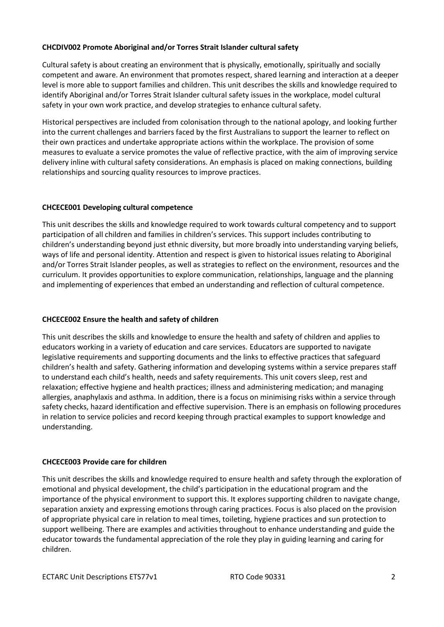## **CHCDIV002 Promote Aboriginal and/or Torres Strait Islander cultural safety**

Cultural safety is about creating an environment that is physically, emotionally, spiritually and socially competent and aware. An environment that promotes respect, shared learning and interaction at a deeper level is more able to support families and children. This unit describes the skills and knowledge required to identify Aboriginal and/or Torres Strait Islander cultural safety issues in the workplace, model cultural safety in your own work practice, and develop strategies to enhance cultural safety.

Historical perspectives are included from colonisation through to the national apology, and looking further into the current challenges and barriers faced by the first Australians to support the learner to reflect on their own practices and undertake appropriate actions within the workplace. The provision of some measures to evaluate a service promotes the value of reflective practice, with the aim of improving service delivery inline with cultural safety considerations. An emphasis is placed on making connections, building relationships and sourcing quality resources to improve practices.

## **CHCECE001 Developing cultural competence**

This unit describes the skills and knowledge required to work towards cultural competency and to support participation of all children and families in children's services. This support includes contributing to children's understanding beyond just ethnic diversity, but more broadly into understanding varying beliefs, ways of life and personal identity. Attention and respect is given to historical issues relating to Aboriginal and/or Torres Strait Islander peoples, as well as strategies to reflect on the environment, resources and the curriculum. It provides opportunities to explore communication, relationships, language and the planning and implementing of experiences that embed an understanding and reflection of cultural competence.

# **CHCECE002 Ensure the health and safety of children**

This unit describes the skills and knowledge to ensure the health and safety of children and applies to educators working in a variety of education and care services. Educators are supported to navigate legislative requirements and supporting documents and the links to effective practices that safeguard children's health and safety. Gathering information and developing systems within a service prepares staff to understand each child's health, needs and safety requirements. This unit covers sleep, rest and relaxation; effective hygiene and health practices; illness and administering medication; and managing allergies, anaphylaxis and asthma. In addition, there is a focus on minimising risks within a service through safety checks, hazard identification and effective supervision. There is an emphasis on following procedures in relation to service policies and record keeping through practical examples to support knowledge and understanding.

# **CHCECE003 Provide care for children**

This unit describes the skills and knowledge required to ensure health and safety through the exploration of emotional and physical development, the child's participation in the educational program and the importance of the physical environment to support this. It explores supporting children to navigate change, separation anxiety and expressing emotions through caring practices. Focus is also placed on the provision of appropriate physical care in relation to meal times, toileting, hygiene practices and sun protection to support wellbeing. There are examples and activities throughout to enhance understanding and guide the educator towards the fundamental appreciation of the role they play in guiding learning and caring for children.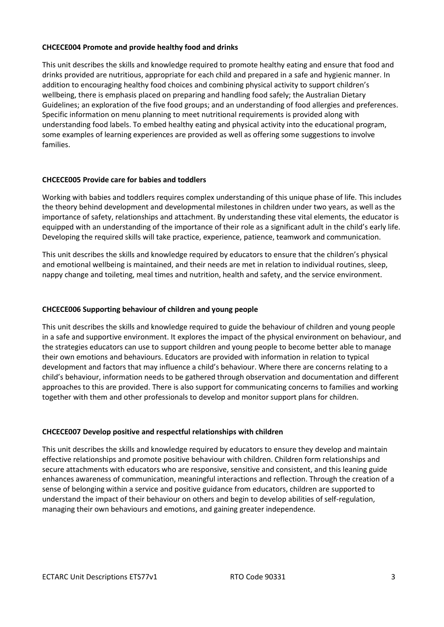#### **CHCECE004 Promote and provide healthy food and drinks**

This unit describes the skills and knowledge required to promote healthy eating and ensure that food and drinks provided are nutritious, appropriate for each child and prepared in a safe and hygienic manner. In addition to encouraging healthy food choices and combining physical activity to support children's wellbeing, there is emphasis placed on preparing and handling food safely; the Australian Dietary Guidelines; an exploration of the five food groups; and an understanding of food allergies and preferences. Specific information on menu planning to meet nutritional requirements is provided along with understanding food labels. To embed healthy eating and physical activity into the educational program, some examples of learning experiences are provided as well as offering some suggestions to involve families.

# **CHCECE005 Provide care for babies and toddlers**

Working with babies and toddlers requires complex understanding of this unique phase of life. This includes the theory behind development and developmental milestones in children under two years, as well as the importance of safety, relationships and attachment. By understanding these vital elements, the educator is equipped with an understanding of the importance of their role as a significant adult in the child's early life. Developing the required skills will take practice, experience, patience, teamwork and communication.

This unit describes the skills and knowledge required by educators to ensure that the children's physical and emotional wellbeing is maintained, and their needs are met in relation to individual routines, sleep, nappy change and toileting, meal times and nutrition, health and safety, and the service environment.

## **CHCECE006 Supporting behaviour of children and young people**

This unit describes the skills and knowledge required to guide the behaviour of children and young people in a safe and supportive environment. It explores the impact of the physical environment on behaviour, and the strategies educators can use to support children and young people to become better able to manage their own emotions and behaviours. Educators are provided with information in relation to typical development and factors that may influence a child's behaviour. Where there are concerns relating to a child's behaviour, information needs to be gathered through observation and documentation and different approaches to this are provided. There is also support for communicating concerns to families and working together with them and other professionals to develop and monitor support plans for children.

#### **CHCECE007 Develop positive and respectful relationships with children**

This unit describes the skills and knowledge required by educators to ensure they develop and maintain effective relationships and promote positive behaviour with children. Children form relationships and secure attachments with educators who are responsive, sensitive and consistent, and this leaning guide enhances awareness of communication, meaningful interactions and reflection. Through the creation of a sense of belonging within a service and positive guidance from educators, children are supported to understand the impact of their behaviour on others and begin to develop abilities of self-regulation, managing their own behaviours and emotions, and gaining greater independence.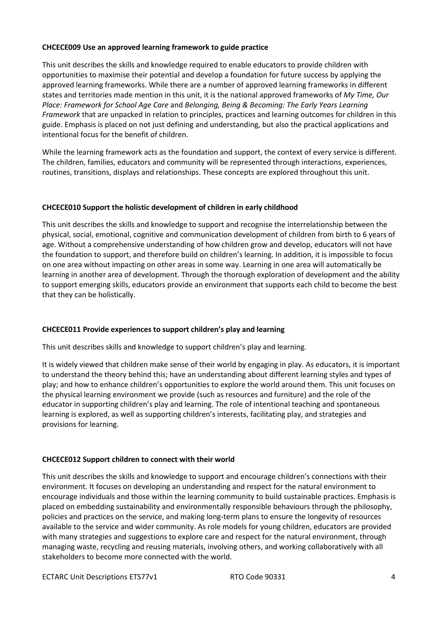## **CHCECE009 Use an approved learning framework to guide practice**

This unit describes the skills and knowledge required to enable educators to provide children with opportunities to maximise their potential and develop a foundation for future success by applying the approved learning frameworks. While there are a number of approved learning frameworks in different states and territories made mention in this unit, it is the national approved frameworks of *My Time, Our Place: Framework for School Age Care* and *Belonging, Being & Becoming: The Early Years Learning Framework* that are unpacked in relation to principles, practices and learning outcomes for children in this guide. Emphasis is placed on not just defining and understanding, but also the practical applications and intentional focus for the benefit of children.

While the learning framework acts as the foundation and support, the context of every service is different. The children, families, educators and community will be represented through interactions, experiences, routines, transitions, displays and relationships. These concepts are explored throughout this unit.

## **CHCECE010 Support the holistic development of children in early childhood**

This unit describes the skills and knowledge to support and recognise the interrelationship between the physical, social, emotional, cognitive and communication development of children from birth to 6 years of age. Without a comprehensive understanding of how children grow and develop, educators will not have the foundation to support, and therefore build on children's learning. In addition, it is impossible to focus on one area without impacting on other areas in some way. Learning in one area will automatically be learning in another area of development. Through the thorough exploration of development and the ability to support emerging skills, educators provide an environment that supports each child to become the best that they can be holistically.

# **CHCECE011 Provide experiences to support children's play and learning**

This unit describes skills and knowledge to support children's play and learning.

It is widely viewed that children make sense of their world by engaging in play. As educators, it is important to understand the theory behind this; have an understanding about different learning styles and types of play; and how to enhance children's opportunities to explore the world around them. This unit focuses on the physical learning environment we provide (such as resources and furniture) and the role of the educator in supporting children's play and learning. The role of intentional teaching and spontaneous learning is explored, as well as supporting children's interests, facilitating play, and strategies and provisions for learning.

# **CHCECE012 Support children to connect with their world**

This unit describes the skills and knowledge to support and encourage children's connections with their environment. It focuses on developing an understanding and respect for the natural environment to encourage individuals and those within the learning community to build sustainable practices. Emphasis is placed on embedding sustainability and environmentally responsible behaviours through the philosophy, policies and practices on the service, and making long-term plans to ensure the longevity of resources available to the service and wider community. As role models for young children, educators are provided with many strategies and suggestions to explore care and respect for the natural environment, through managing waste, recycling and reusing materials, involving others, and working collaboratively with all stakeholders to become more connected with the world.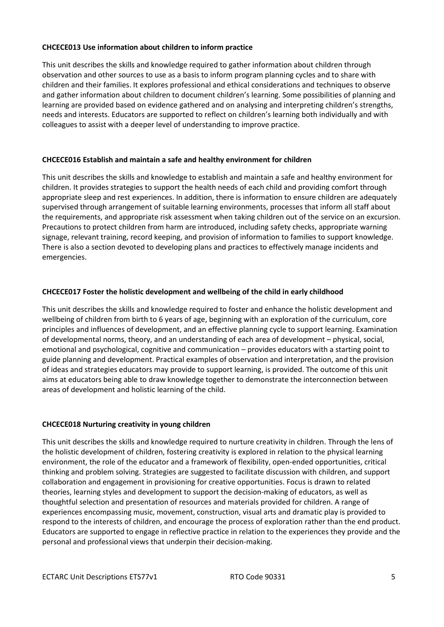## **CHCECE013 Use information about children to inform practice**

This unit describes the skills and knowledge required to gather information about children through observation and other sources to use as a basis to inform program planning cycles and to share with children and their families. It explores professional and ethical considerations and techniques to observe and gather information about children to document children's learning. Some possibilities of planning and learning are provided based on evidence gathered and on analysing and interpreting children's strengths, needs and interests. Educators are supported to reflect on children's learning both individually and with colleagues to assist with a deeper level of understanding to improve practice.

## **CHCECE016 Establish and maintain a safe and healthy environment for children**

This unit describes the skills and knowledge to establish and maintain a safe and healthy environment for children. It provides strategies to support the health needs of each child and providing comfort through appropriate sleep and rest experiences. In addition, there is information to ensure children are adequately supervised through arrangement of suitable learning environments, processes that inform all staff about the requirements, and appropriate risk assessment when taking children out of the service on an excursion. Precautions to protect children from harm are introduced, including safety checks, appropriate warning signage, relevant training, record keeping, and provision of information to families to support knowledge. There is also a section devoted to developing plans and practices to effectively manage incidents and emergencies.

## **CHCECE017 Foster the holistic development and wellbeing of the child in early childhood**

This unit describes the skills and knowledge required to foster and enhance the holistic development and wellbeing of children from birth to 6 years of age, beginning with an exploration of the curriculum, core principles and influences of development, and an effective planning cycle to support learning. Examination of developmental norms, theory, and an understanding of each area of development – physical, social, emotional and psychological, cognitive and communication – provides educators with a starting point to guide planning and development. Practical examples of observation and interpretation, and the provision of ideas and strategies educators may provide to support learning, is provided. The outcome of this unit aims at educators being able to draw knowledge together to demonstrate the interconnection between areas of development and holistic learning of the child.

#### **CHCECE018 Nurturing creativity in young children**

This unit describes the skills and knowledge required to nurture creativity in children. Through the lens of the holistic development of children, fostering creativity is explored in relation to the physical learning environment, the role of the educator and a framework of flexibility, open-ended opportunities, critical thinking and problem solving. Strategies are suggested to facilitate discussion with children, and support collaboration and engagement in provisioning for creative opportunities. Focus is drawn to related theories, learning styles and development to support the decision-making of educators, as well as thoughtful selection and presentation of resources and materials provided for children. A range of experiences encompassing music, movement, construction, visual arts and dramatic play is provided to respond to the interests of children, and encourage the process of exploration rather than the end product. Educators are supported to engage in reflective practice in relation to the experiences they provide and the personal and professional views that underpin their decision-making.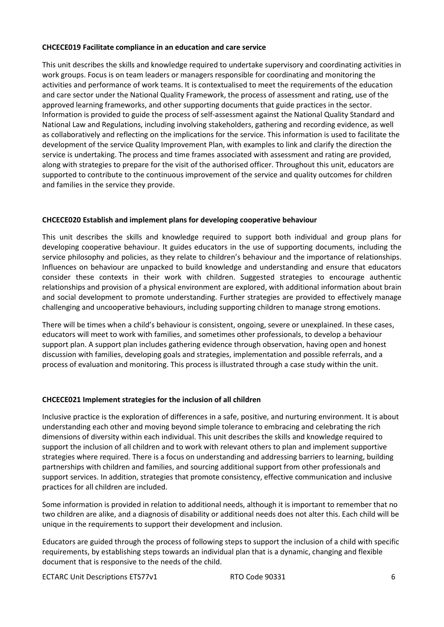## **CHCECE019 Facilitate compliance in an education and care service**

This unit describes the skills and knowledge required to undertake supervisory and coordinating activities in work groups. Focus is on team leaders or managers responsible for coordinating and monitoring the activities and performance of work teams. It is contextualised to meet the requirements of the education and care sector under the National Quality Framework, the process of assessment and rating, use of the approved learning frameworks, and other supporting documents that guide practices in the sector. Information is provided to guide the process of self-assessment against the National Quality Standard and National Law and Regulations, including involving stakeholders, gathering and recording evidence, as well as collaboratively and reflecting on the implications for the service. This information is used to facilitate the development of the service Quality Improvement Plan, with examples to link and clarify the direction the service is undertaking. The process and time frames associated with assessment and rating are provided, along with strategies to prepare for the visit of the authorised officer. Throughout this unit, educators are supported to contribute to the continuous improvement of the service and quality outcomes for children and families in the service they provide.

## **CHCECE020 Establish and implement plans for developing cooperative behaviour**

This unit describes the skills and knowledge required to support both individual and group plans for developing cooperative behaviour. It guides educators in the use of supporting documents, including the service philosophy and policies, as they relate to children's behaviour and the importance of relationships. Influences on behaviour are unpacked to build knowledge and understanding and ensure that educators consider these contexts in their work with children. Suggested strategies to encourage authentic relationships and provision of a physical environment are explored, with additional information about brain and social development to promote understanding. Further strategies are provided to effectively manage challenging and uncooperative behaviours, including supporting children to manage strong emotions.

There will be times when a child's behaviour is consistent, ongoing, severe or unexplained. In these cases, educators will meet to work with families, and sometimes other professionals, to develop a behaviour support plan. A support plan includes gathering evidence through observation, having open and honest discussion with families, developing goals and strategies, implementation and possible referrals, and a process of evaluation and monitoring. This process is illustrated through a case study within the unit.

#### **CHCECE021 Implement strategies for the inclusion of all children**

Inclusive practice is the exploration of differences in a safe, positive, and nurturing environment. It is about understanding each other and moving beyond simple tolerance to embracing and celebrating the rich dimensions of diversity within each individual. This unit describes the skills and knowledge required to support the inclusion of all children and to work with relevant others to plan and implement supportive strategies where required. There is a focus on understanding and addressing barriers to learning, building partnerships with children and families, and sourcing additional support from other professionals and support services. In addition, strategies that promote consistency, effective communication and inclusive practices for all children are included.

Some information is provided in relation to additional needs, although it is important to remember that no two children are alike, and a diagnosis of disability or additional needs does not alter this. Each child will be unique in the requirements to support their development and inclusion.

Educators are guided through the process of following steps to support the inclusion of a child with specific requirements, by establishing steps towards an individual plan that is a dynamic, changing and flexible document that is responsive to the needs of the child.

ECTARC Unit Descriptions ETS77v1 6 and RTO Code 90331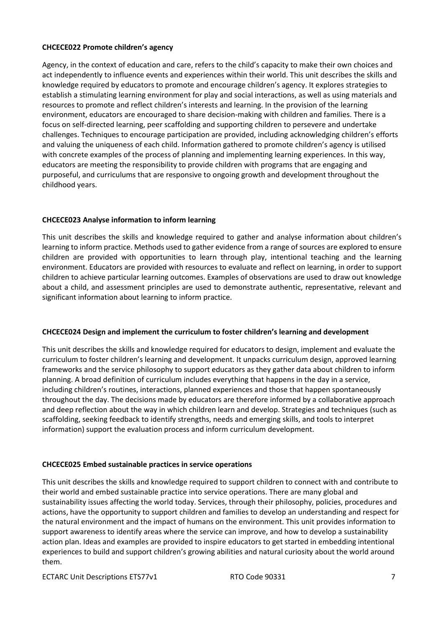## **CHCECE022 Promote children's agency**

Agency, in the context of education and care, refers to the child's capacity to make their own choices and act independently to influence events and experiences within their world. This unit describes the skills and knowledge required by educators to promote and encourage children's agency. It explores strategies to establish a stimulating learning environment for play and social interactions, as well as using materials and resources to promote and reflect children's interests and learning. In the provision of the learning environment, educators are encouraged to share decision-making with children and families. There is a focus on self-directed learning, peer scaffolding and supporting children to persevere and undertake challenges. Techniques to encourage participation are provided, including acknowledging children's efforts and valuing the uniqueness of each child. Information gathered to promote children's agency is utilised with concrete examples of the process of planning and implementing learning experiences. In this way, educators are meeting the responsibility to provide children with programs that are engaging and purposeful, and curriculums that are responsive to ongoing growth and development throughout the childhood years.

# **CHCECE023 Analyse information to inform learning**

This unit describes the skills and knowledge required to gather and analyse information about children's learning to inform practice. Methods used to gather evidence from a range of sources are explored to ensure children are provided with opportunities to learn through play, intentional teaching and the learning environment. Educators are provided with resources to evaluate and reflect on learning, in order to support children to achieve particular learning outcomes. Examples of observations are used to draw out knowledge about a child, and assessment principles are used to demonstrate authentic, representative, relevant and significant information about learning to inform practice.

# **CHCECE024 Design and implement the curriculum to foster children's learning and development**

This unit describes the skills and knowledge required for educators to design, implement and evaluate the curriculum to foster children's learning and development. It unpacks curriculum design, approved learning frameworks and the service philosophy to support educators as they gather data about children to inform planning. A broad definition of curriculum includes everything that happens in the day in a service, including children's routines, interactions, planned experiences and those that happen spontaneously throughout the day. The decisions made by educators are therefore informed by a collaborative approach and deep reflection about the way in which children learn and develop. Strategies and techniques (such as scaffolding, seeking feedback to identify strengths, needs and emerging skills, and tools to interpret information) support the evaluation process and inform curriculum development.

# **CHCECE025 Embed sustainable practices in service operations**

This unit describes the skills and knowledge required to support children to connect with and contribute to their world and embed sustainable practice into service operations. There are many global and sustainability issues affecting the world today. Services, through their philosophy, policies, procedures and actions, have the opportunity to support children and families to develop an understanding and respect for the natural environment and the impact of humans on the environment. This unit provides information to support awareness to identify areas where the service can improve, and how to develop a sustainability action plan. Ideas and examples are provided to inspire educators to get started in embedding intentional experiences to build and support children's growing abilities and natural curiosity about the world around them.

ECTARC Unit Descriptions ETS77v1 7 THE RTO Code 90331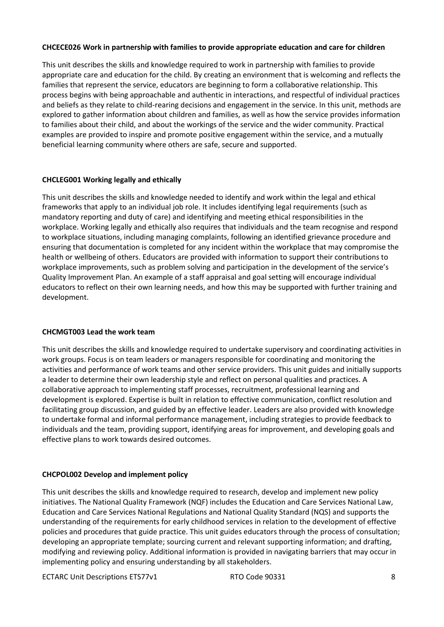## **CHCECE026 Work in partnership with families to provide appropriate education and care for children**

This unit describes the skills and knowledge required to work in partnership with families to provide appropriate care and education for the child. By creating an environment that is welcoming and reflects the families that represent the service, educators are beginning to form a collaborative relationship. This process begins with being approachable and authentic in interactions, and respectful of individual practices and beliefs as they relate to child-rearing decisions and engagement in the service. In this unit, methods are explored to gather information about children and families, as well as how the service provides information to families about their child, and about the workings of the service and the wider community. Practical examples are provided to inspire and promote positive engagement within the service, and a mutually beneficial learning community where others are safe, secure and supported.

# **CHCLEG001 Working legally and ethically**

This unit describes the skills and knowledge needed to identify and work within the legal and ethical frameworks that apply to an individual job role. It includes identifying legal requirements (such as mandatory reporting and duty of care) and identifying and meeting ethical responsibilities in the workplace. Working legally and ethically also requires that individuals and the team recognise and respond to workplace situations, including managing complaints, following an identified grievance procedure and ensuring that documentation is completed for any incident within the workplace that may compromise the health or wellbeing of others. Educators are provided with information to support their contributions to workplace improvements, such as problem solving and participation in the development of the service's Quality Improvement Plan. An example of a staff appraisal and goal setting will encourage individual educators to reflect on their own learning needs, and how this may be supported with further training and development.

#### **CHCMGT003 Lead the work team**

This unit describes the skills and knowledge required to undertake supervisory and coordinating activities in work groups. Focus is on team leaders or managers responsible for coordinating and monitoring the activities and performance of work teams and other service providers. This unit guides and initially supports a leader to determine their own leadership style and reflect on personal qualities and practices. A collaborative approach to implementing staff processes, recruitment, professional learning and development is explored. Expertise is built in relation to effective communication, conflict resolution and facilitating group discussion, and guided by an effective leader. Leaders are also provided with knowledge to undertake formal and informal performance management, including strategies to provide feedback to individuals and the team, providing support, identifying areas for improvement, and developing goals and effective plans to work towards desired outcomes.

#### **CHCPOL002 Develop and implement policy**

This unit describes the skills and knowledge required to research, develop and implement new policy initiatives. The National Quality Framework (NQF) includes the Education and Care Services National Law, Education and Care Services National Regulations and National Quality Standard (NQS) and supports the understanding of the requirements for early childhood services in relation to the development of effective policies and procedures that guide practice. This unit guides educators through the process of consultation; developing an appropriate template; sourcing current and relevant supporting information; and drafting, modifying and reviewing policy. Additional information is provided in navigating barriers that may occur in implementing policy and ensuring understanding by all stakeholders.

ECTARC Unit Descriptions ETS77v1 8 and RTO Code 90331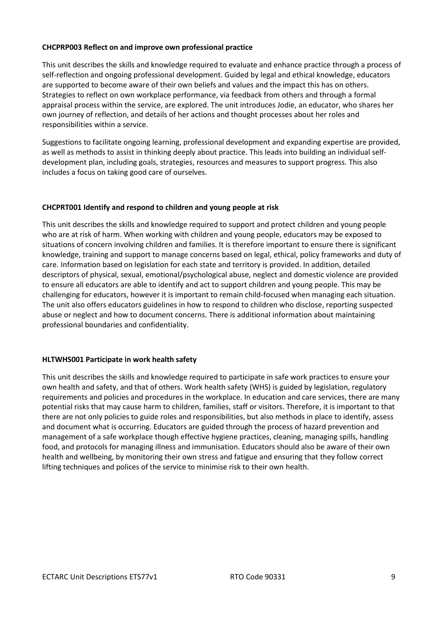## **CHCPRP003 Reflect on and improve own professional practice**

This unit describes the skills and knowledge required to evaluate and enhance practice through a process of self-reflection and ongoing professional development. Guided by legal and ethical knowledge, educators are supported to become aware of their own beliefs and values and the impact this has on others. Strategies to reflect on own workplace performance, via feedback from others and through a formal appraisal process within the service, are explored. The unit introduces Jodie, an educator, who shares her own journey of reflection, and details of her actions and thought processes about her roles and responsibilities within a service.

Suggestions to facilitate ongoing learning, professional development and expanding expertise are provided, as well as methods to assist in thinking deeply about practice. This leads into building an individual selfdevelopment plan, including goals, strategies, resources and measures to support progress. This also includes a focus on taking good care of ourselves.

## **CHCPRT001 Identify and respond to children and young people at risk**

This unit describes the skills and knowledge required to support and protect children and young people who are at risk of harm. When working with children and young people, educators may be exposed to situations of concern involving children and families. It is therefore important to ensure there is significant knowledge, training and support to manage concerns based on legal, ethical, policy frameworks and duty of care. Information based on legislation for each state and territory is provided. In addition, detailed descriptors of physical, sexual, emotional/psychological abuse, neglect and domestic violence are provided to ensure all educators are able to identify and act to support children and young people. This may be challenging for educators, however it is important to remain child-focused when managing each situation. The unit also offers educators guidelines in how to respond to children who disclose, reporting suspected abuse or neglect and how to document concerns. There is additional information about maintaining professional boundaries and confidentiality.

#### **HLTWHS001 Participate in work health safety**

This unit describes the skills and knowledge required to participate in safe work practices to ensure your own health and safety, and that of others. Work health safety (WHS) is guided by legislation, regulatory requirements and policies and procedures in the workplace. In education and care services, there are many potential risks that may cause harm to children, families, staff or visitors. Therefore, it is important to that there are not only policies to guide roles and responsibilities, but also methods in place to identify, assess and document what is occurring. Educators are guided through the process of hazard prevention and management of a safe workplace though effective hygiene practices, cleaning, managing spills, handling food, and protocols for managing illness and immunisation. Educators should also be aware of their own health and wellbeing, by monitoring their own stress and fatigue and ensuring that they follow correct lifting techniques and polices of the service to minimise risk to their own health.